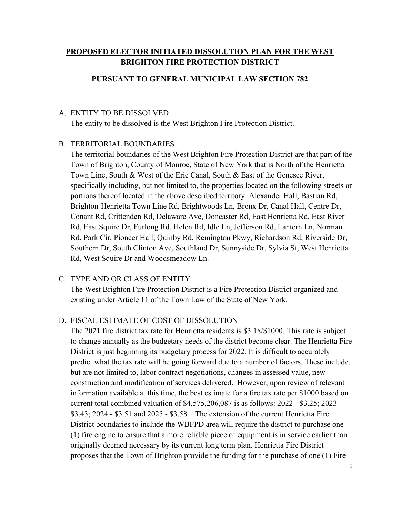## **PROPOSED ELECTOR INITIATED DISSOLUTION PLAN FOR THE WEST BRIGHTON FIRE PROTECTION DISTRICT**

#### **PURSUANT TO GENERAL MUNICIPAL LAW SECTION 782**

#### A. ENTITY TO BE DISSOLVED

The entity to be dissolved is the West Brighton Fire Protection District.

#### B. TERRITORIAL BOUNDARIES

The territorial boundaries of the West Brighton Fire Protection District are that part of the Town of Brighton, County of Monroe, State of New York that is North of the Henrietta Town Line, South & West of the Erie Canal, South & East of the Genesee River, specifically including, but not limited to, the properties located on the following streets or portions thereof located in the above described territory: Alexander Hall, Bastian Rd, Brighton-Henrietta Town Line Rd, Brightwoods Ln, Bronx Dr, Canal Hall, Centre Dr, Conant Rd, Crittenden Rd, Delaware Ave, Doncaster Rd, East Henrietta Rd, East River Rd, East Squire Dr, Furlong Rd, Helen Rd, Idle Ln, Jefferson Rd, Lantern Ln, Norman Rd, Park Cir, Pioneer Hall, Quinby Rd, Remington Pkwy, Richardson Rd, Riverside Dr, Southern Dr, South Clinton Ave, Southland Dr, Sunnyside Dr, Sylvia St, West Henrietta Rd, West Squire Dr and Woodsmeadow Ln.

#### C. TYPE AND OR CLASS OF ENTITY

The West Brighton Fire Protection District is a Fire Protection District organized and existing under Article 11 of the Town Law of the State of New York.

#### D. FISCAL ESTIMATE OF COST OF DISSOLUTION

The 2021 fire district tax rate for Henrietta residents is \$3.18/\$1000. This rate is subject to change annually as the budgetary needs of the district become clear. The Henrietta Fire District is just beginning its budgetary process for 2022. It is difficult to accurately predict what the tax rate will be going forward due to a number of factors. These include, but are not limited to, labor contract negotiations, changes in assessed value, new construction and modification of services delivered. However, upon review of relevant information available at this time, the best estimate for a fire tax rate per \$1000 based on current total combined valuation of \$4,575,206,087 is as follows: 2022 - \$3.25; 2023 - \$3.43; 2024 - \$3.51 and 2025 - \$3.58. The extension of the current Henrietta Fire District boundaries to include the WBFPD area will require the district to purchase one (1) fire engine to ensure that a more reliable piece of equipment is in service earlier than originally deemed necessary by its current long term plan. Henrietta Fire District proposes that the Town of Brighton provide the funding for the purchase of one (1) Fire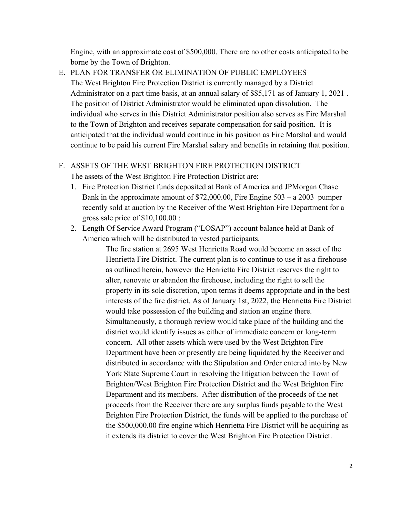Engine, with an approximate cost of \$500,000. There are no other costs anticipated to be borne by the Town of Brighton.

E. PLAN FOR TRANSFER OR ELIMINATION OF PUBLIC EMPLOYEES The West Brighton Fire Protection District is currently managed by a District Administrator on a part time basis, at an annual salary of \$\$5,171 as of January 1, 2021 . The position of District Administrator would be eliminated upon dissolution. The individual who serves in this District Administrator position also serves as Fire Marshal to the Town of Brighton and receives separate compensation for said position. It is anticipated that the individual would continue in his position as Fire Marshal and would continue to be paid his current Fire Marshal salary and benefits in retaining that position.

### F. ASSETS OF THE WEST BRIGHTON FIRE PROTECTION DISTRICT

The assets of the West Brighton Fire Protection District are:

- 1. Fire Protection District funds deposited at Bank of America and JPMorgan Chase Bank in the approximate amount of \$72,000.00, Fire Engine 503 – a 2003 pumper recently sold at auction by the Receiver of the West Brighton Fire Department for a gross sale price of \$10,100.00 ;
- 2. Length Of Service Award Program ("LOSAP") account balance held at Bank of America which will be distributed to vested participants.

The fire station at 2695 West Henrietta Road would become an asset of the Henrietta Fire District. The current plan is to continue to use it as a firehouse as outlined herein, however the Henrietta Fire District reserves the right to alter, renovate or abandon the firehouse, including the right to sell the property in its sole discretion, upon terms it deems appropriate and in the best interests of the fire district. As of January 1st, 2022, the Henrietta Fire District would take possession of the building and station an engine there. Simultaneously, a thorough review would take place of the building and the district would identify issues as either of immediate concern or long-term concern. All other assets which were used by the West Brighton Fire Department have been or presently are being liquidated by the Receiver and distributed in accordance with the Stipulation and Order entered into by New York State Supreme Court in resolving the litigation between the Town of Brighton/West Brighton Fire Protection District and the West Brighton Fire Department and its members. After distribution of the proceeds of the net proceeds from the Receiver there are any surplus funds payable to the West Brighton Fire Protection District, the funds will be applied to the purchase of the \$500,000.00 fire engine which Henrietta Fire District will be acquiring as it extends its district to cover the West Brighton Fire Protection District.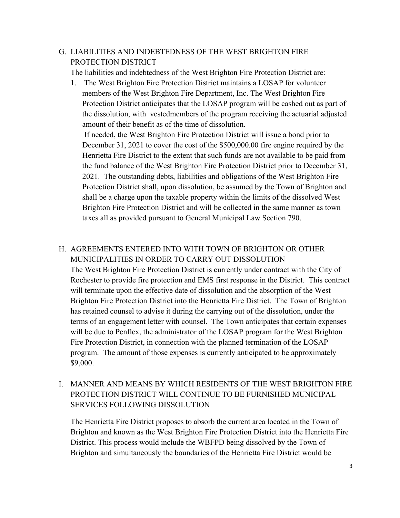### G. LIABILITIES AND INDEBTEDNESS OF THE WEST BRIGHTON FIRE PROTECTION DISTRICT

The liabilities and indebtedness of the West Brighton Fire Protection District are:

1. The West Brighton Fire Protection District maintains a LOSAP for volunteer members of the West Brighton Fire Department, Inc. The West Brighton Fire Protection District anticipates that the LOSAP program will be cashed out as part of the dissolution, with vestedmembers of the program receiving the actuarial adjusted amount of their benefit as of the time of dissolution.

 If needed, the West Brighton Fire Protection District will issue a bond prior to December 31, 2021 to cover the cost of the \$500,000.00 fire engine required by the Henrietta Fire District to the extent that such funds are not available to be paid from the fund balance of the West Brighton Fire Protection District prior to December 31, 2021. The outstanding debts, liabilities and obligations of the West Brighton Fire Protection District shall, upon dissolution, be assumed by the Town of Brighton and shall be a charge upon the taxable property within the limits of the dissolved West Brighton Fire Protection District and will be collected in the same manner as town taxes all as provided pursuant to General Municipal Law Section 790.

### H. AGREEMENTS ENTERED INTO WITH TOWN OF BRIGHTON OR OTHER MUNICIPALITIES IN ORDER TO CARRY OUT DISSOLUTION

The West Brighton Fire Protection District is currently under contract with the City of Rochester to provide fire protection and EMS first response in the District. This contract will terminate upon the effective date of dissolution and the absorption of the West Brighton Fire Protection District into the Henrietta Fire District. The Town of Brighton has retained counsel to advise it during the carrying out of the dissolution, under the terms of an engagement letter with counsel. The Town anticipates that certain expenses will be due to Penflex, the administrator of the LOSAP program for the West Brighton Fire Protection District, in connection with the planned termination of the LOSAP program. The amount of those expenses is currently anticipated to be approximately \$9,000.

# I. MANNER AND MEANS BY WHICH RESIDENTS OF THE WEST BRIGHTON FIRE PROTECTION DISTRICT WILL CONTINUE TO BE FURNISHED MUNICIPAL SERVICES FOLLOWING DISSOLUTION

The Henrietta Fire District proposes to absorb the current area located in the Town of Brighton and known as the West Brighton Fire Protection District into the Henrietta Fire District. This process would include the WBFPD being dissolved by the Town of Brighton and simultaneously the boundaries of the Henrietta Fire District would be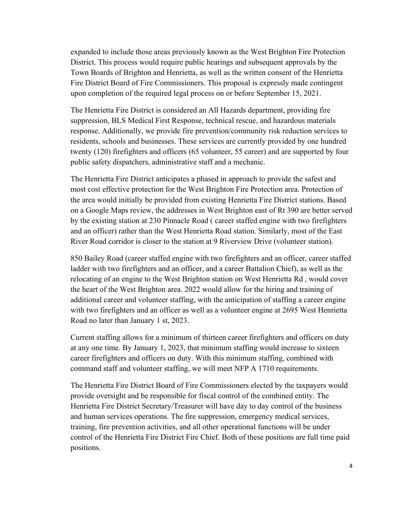expanded to include those areas previously known as the West Brighton Fire Protection District. This process would require public hearings and subsequent approvals by the Town Boards of Brighton and Henrietta, as well as the written consent of the Henrietta Fire District Board of Fire Commissioners. This proposal is expressly made contingent upon completion of the required legal process on or before September 15, 2021.

The Henrietta Fire District is considered an All Hazards department, providing fire suppression, BLS Medical First Response, technical rescue, and hazardous materials response. Additionally, we provide fire prevention/community risk reduction services to residents, schools and businesses. These services are currently provided by one hundred twenty (120) firefighters and officers (65 volunteer, 55 career) and are supported by four public safety dispatchers, administrative staff and a mechanic.

The Henrietta Fire District anticipates a phased in approach to provide the safest and most cost effective protection for the West Brighton Fire Protection area. Protection of the area would initially be provided from existing Henrietta Fire District stations. Based on a Google Maps review, the addresses in West Brighton east of Rt 390 are better served by the existing station at 230 Pinnacle Road ( career staffed engine with two firefighters and an officer) rather than the West Henrietta Road station. Similarly, most of the East River Road corridor is closer to the station at 9 Riverview Drive (volunteer station).

850 Bailey Road (career staffed engine with two firefighters and an officer, career staffed ladder with two firefighters and an officer, and a career Battalion Chief), as well as the relocating of an engine to the West Brighton station on West Henrietta Rd , would cover the heart of the West Brighton area. 2022 would allow for the hiring and training of additional career and volunteer staffing, with the anticipation of staffing a career engine with two firefighters and an officer as well as a volunteer engine at 2695 West Henrietta Road no later than January 1 st, 2023.

Current staffing allows for a minimum of thirteen career firefighters and officers on duty at any one time. By January 1, 2023, that minimum staffing would increase to sixteen career firefighters and officers on duty. With this minimum staffing, combined with command staff and volunteer staffing, we will meet NFP A 1710 requirements.

The Henrietta Fire District Board of Fire Commissioners elected by the taxpayers would provide oversight and be responsible for fiscal control of the combined entity. The Henrietta Fire District Secretary/Treasurer will have day to day control of the business and human services operations. The fire suppression, emergency medical services, training, fire prevention activities, and all other operational functions will be under control of the Henrietta Fire District Fire Chief. Both of these positions are full time paid positions.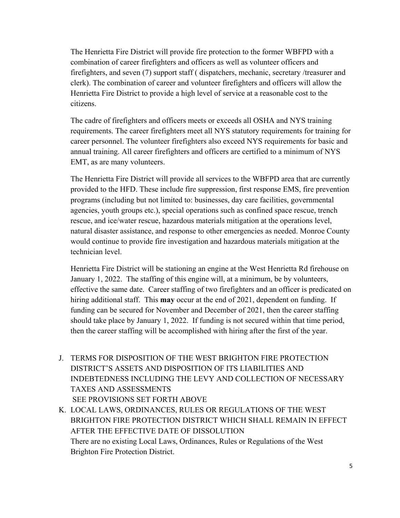The Henrietta Fire District will provide fire protection to the former WBFPD with a combination of career firefighters and officers as well as volunteer officers and firefighters, and seven (7) support staff ( dispatchers, mechanic, secretary /treasurer and clerk). The combination of career and volunteer firefighters and officers will allow the Henrietta Fire District to provide a high level of service at a reasonable cost to the citizens.

The cadre of firefighters and officers meets or exceeds all OSHA and NYS training requirements. The career firefighters meet all NYS statutory requirements for training for career personnel. The volunteer firefighters also exceed NYS requirements for basic and annual training. All career firefighters and officers are certified to a minimum of NYS EMT, as are many volunteers.

The Henrietta Fire District will provide all services to the WBFPD area that are currently provided to the HFD. These include fire suppression, first response EMS, fire prevention programs (including but not limited to: businesses, day care facilities, governmental agencies, youth groups etc.), special operations such as confined space rescue, trench rescue, and ice/water rescue, hazardous materials mitigation at the operations level, natural disaster assistance, and response to other emergencies as needed. Monroe County would continue to provide fire investigation and hazardous materials mitigation at the technician level.

Henrietta Fire District will be stationing an engine at the West Henrietta Rd firehouse on January 1, 2022. The staffing of this engine will, at a minimum, be by volunteers, effective the same date. Career staffing of two firefighters and an officer is predicated on hiring additional staff. This **may** occur at the end of 2021, dependent on funding. If funding can be secured for November and December of 2021, then the career staffing should take place by January 1, 2022. If funding is not secured within that time period, then the career staffing will be accomplished with hiring after the first of the year.

- J. TERMS FOR DISPOSITION OF THE WEST BRIGHTON FIRE PROTECTION DISTRICT'S ASSETS AND DISPOSITION OF ITS LIABILITIES AND INDEBTEDNESS INCLUDING THE LEVY AND COLLECTION OF NECESSARY TAXES AND ASSESSMENTS SEE PROVISIONS SET FORTH ABOVE
- K. LOCAL LAWS, ORDINANCES, RULES OR REGULATIONS OF THE WEST BRIGHTON FIRE PROTECTION DISTRICT WHICH SHALL REMAIN IN EFFECT AFTER THE EFFECTIVE DATE OF DISSOLUTION There are no existing Local Laws, Ordinances, Rules or Regulations of the West Brighton Fire Protection District.